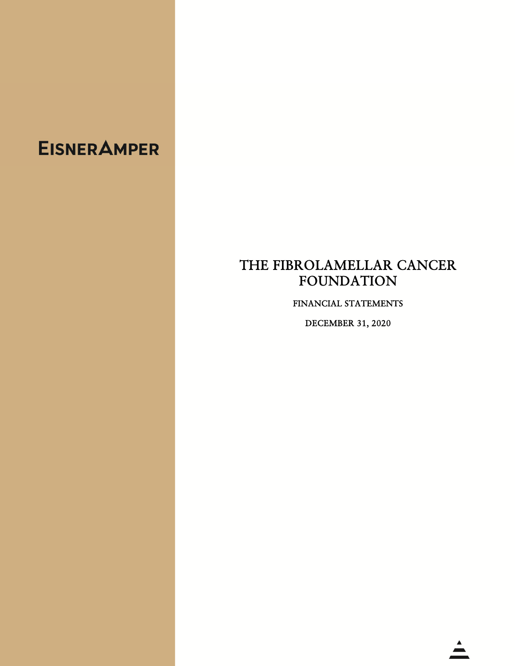## **EISNER AMPER**

## THE FIBROLAMELLAR CANCER FOUNDATION

FINANCIAL STATEMENTS

DECEMBER 31, 2020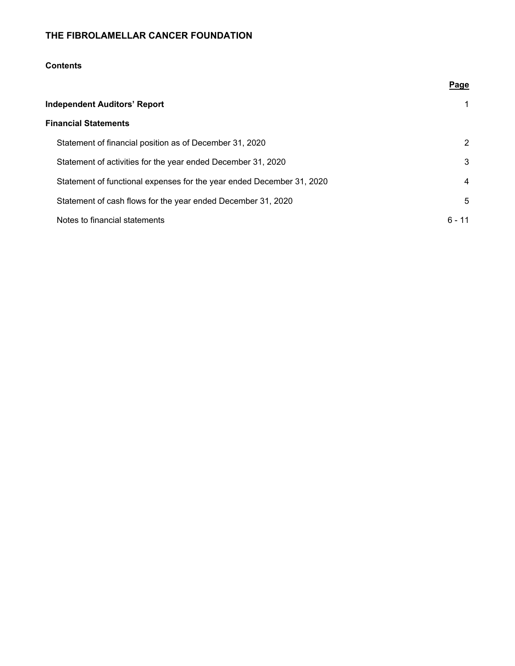### **Contents**

|                                                                       | Page   |
|-----------------------------------------------------------------------|--------|
| <b>Independent Auditors' Report</b>                                   |        |
| <b>Financial Statements</b>                                           |        |
| Statement of financial position as of December 31, 2020               | 2      |
| Statement of activities for the year ended December 31, 2020          | 3      |
| Statement of functional expenses for the year ended December 31, 2020 | 4      |
| Statement of cash flows for the year ended December 31, 2020          | 5      |
| Notes to financial statements                                         | ճ - 11 |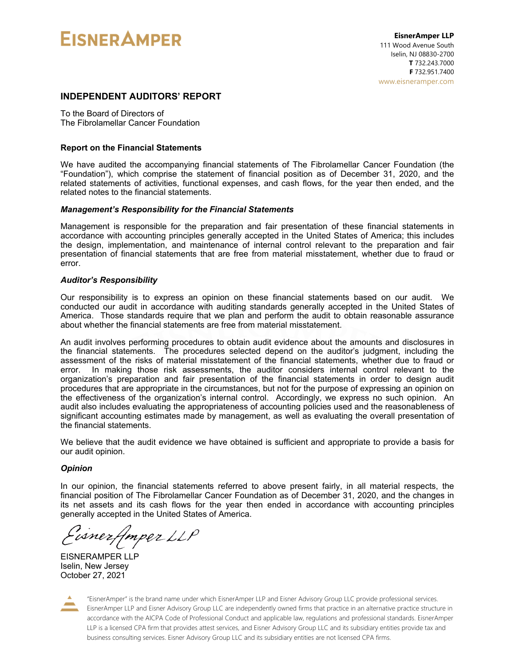# **EISNER AMPER**

#### **INDEPENDENT AUDITORS' REPORT**

To the Board of Directors of The Fibrolamellar Cancer Foundation

#### **Report on the Financial Statements**

We have audited the accompanying financial statements of The Fibrolamellar Cancer Foundation (the "Foundation"), which comprise the statement of financial position as of December 31, 2020, and the related statements of activities, functional expenses, and cash flows, for the year then ended, and the related notes to the financial statements.

#### *Management's Responsibility for the Financial Statements*

Management is responsible for the preparation and fair presentation of these financial statements in accordance with accounting principles generally accepted in the United States of America; this includes the design, implementation, and maintenance of internal control relevant to the preparation and fair presentation of financial statements that are free from material misstatement, whether due to fraud or error.

#### *Auditor's Responsibility*

Our responsibility is to express an opinion on these financial statements based on our audit. We conducted our audit in accordance with auditing standards generally accepted in the United States of America. Those standards require that we plan and perform the audit to obtain reasonable assurance about whether the financial statements are free from material misstatement.

An audit involves performing procedures to obtain audit evidence about the amounts and disclosures in the financial statements. The procedures selected depend on the auditor's judgment, including the assessment of the risks of material misstatement of the financial statements, whether due to fraud or error. In making those risk assessments, the auditor considers internal control relevant to the organization's preparation and fair presentation of the financial statements in order to design audit procedures that are appropriate in the circumstances, but not for the purpose of expressing an opinion on the effectiveness of the organization's internal control. Accordingly, we express no such opinion. An audit also includes evaluating the appropriateness of accounting policies used and the reasonableness of significant accounting estimates made by management, as well as evaluating the overall presentation of the financial statements.

We believe that the audit evidence we have obtained is sufficient and appropriate to provide a basis for our audit opinion.

#### *Opinion*

In our opinion, the financial statements referred to above present fairly, in all material respects, the financial position of The Fibrolamellar Cancer Foundation as of December 31, 2020, and the changes in its net assets and its cash flows for the year then ended in accordance with accounting principles generally accepted in the United States of America.

isnerfmper LLP

EISNERAMPER LLP Iselin, New Jersey October 27, 2021



"EisnerAmper" is the brand name under which EisnerAmper LLP and Eisner Advisory Group LLC provide professional services. EisnerAmper LLP and Eisner Advisory Group LLC are independently owned firms that practice in an alternative practice structure in accordance with the AICPA Code of Professional Conduct and applicable law, regulations and professional standards. EisnerAmper LLP is a licensed CPA firm that provides attest services, and Eisner Advisory Group LLC and its subsidiary entities provide tax and business consulting services. Eisner Advisory Group LLC and its subsidiary entities are not licensed CPA firms.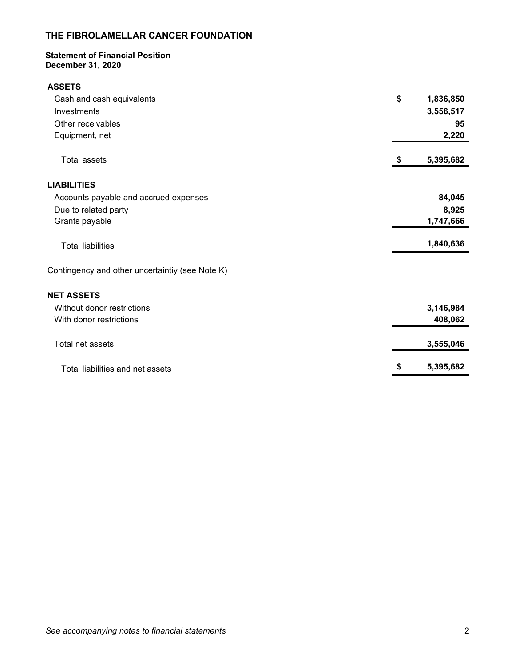#### **Statement of Financial Position December 31, 2020**

| <b>ASSETS</b>                                   |    |           |
|-------------------------------------------------|----|-----------|
| Cash and cash equivalents                       | \$ | 1,836,850 |
| Investments                                     |    | 3,556,517 |
| Other receivables                               |    | 95        |
| Equipment, net                                  |    | 2,220     |
| <b>Total assets</b>                             | S  | 5,395,682 |
| <b>LIABILITIES</b>                              |    |           |
| Accounts payable and accrued expenses           |    | 84,045    |
| Due to related party                            |    | 8,925     |
| Grants payable                                  |    | 1,747,666 |
| <b>Total liabilities</b>                        |    | 1,840,636 |
| Contingency and other uncertaintiy (see Note K) |    |           |
| <b>NET ASSETS</b>                               |    |           |
| Without donor restrictions                      |    | 3,146,984 |
| With donor restrictions                         |    | 408,062   |
| Total net assets                                |    | 3,555,046 |
| Total liabilities and net assets                | \$ | 5,395,682 |
|                                                 |    |           |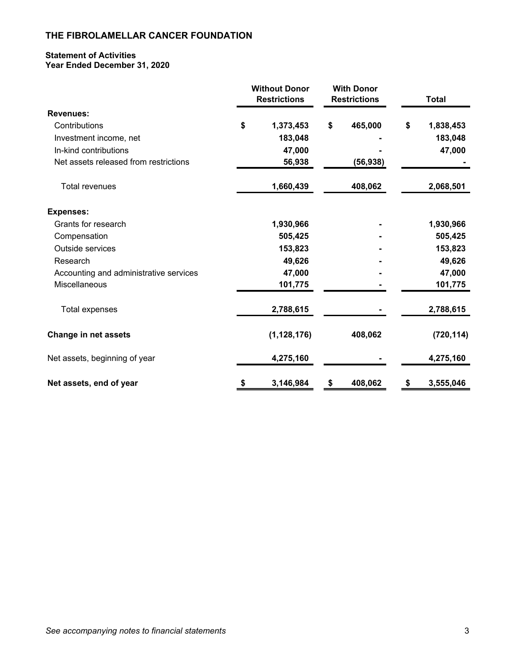#### **Statement of Activities Year Ended December 31, 2020**

|                                        | <b>Without Donor</b><br><b>Restrictions</b> |               | <b>With Donor</b><br><b>Restrictions</b> | <b>Total</b> |            |
|----------------------------------------|---------------------------------------------|---------------|------------------------------------------|--------------|------------|
| <b>Revenues:</b>                       |                                             |               |                                          |              |            |
| Contributions                          | \$                                          | 1,373,453     | \$<br>465,000                            | \$           | 1,838,453  |
| Investment income, net                 |                                             | 183,048       |                                          |              | 183,048    |
| In-kind contributions                  |                                             | 47,000        |                                          |              | 47,000     |
| Net assets released from restrictions  |                                             | 56,938        | (56, 938)                                |              |            |
| <b>Total revenues</b>                  |                                             | 1,660,439     | 408,062                                  |              | 2,068,501  |
| <b>Expenses:</b>                       |                                             |               |                                          |              |            |
| Grants for research                    |                                             | 1,930,966     |                                          |              | 1,930,966  |
| Compensation                           |                                             | 505,425       |                                          |              | 505,425    |
| Outside services                       |                                             | 153,823       |                                          |              | 153,823    |
| Research                               |                                             | 49,626        |                                          |              | 49,626     |
| Accounting and administrative services |                                             | 47,000        |                                          |              | 47,000     |
| Miscellaneous                          |                                             | 101,775       |                                          |              | 101,775    |
| Total expenses                         |                                             | 2,788,615     |                                          |              | 2,788,615  |
| Change in net assets                   |                                             | (1, 128, 176) | 408,062                                  |              | (720, 114) |
| Net assets, beginning of year          |                                             | 4,275,160     |                                          |              | 4,275,160  |
| Net assets, end of year                | \$                                          | 3,146,984     | \$<br>408,062                            | \$           | 3,555,046  |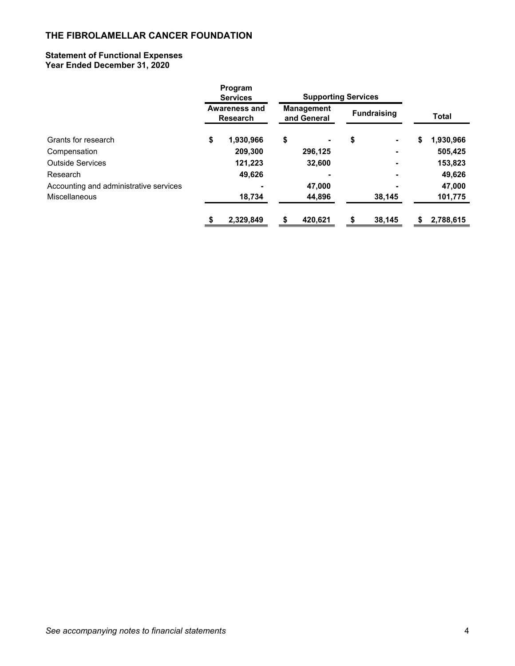#### **Statement of Functional Expenses Year Ended December 31, 2020**

|                                        | Program<br><b>Services</b>              | <b>Supporting Services</b>       |                    |    |              |
|----------------------------------------|-----------------------------------------|----------------------------------|--------------------|----|--------------|
|                                        | <b>Awareness and</b><br><b>Research</b> | <b>Management</b><br>and General | <b>Fundraising</b> |    | <b>Total</b> |
| Grants for research                    | \$<br>1,930,966                         | \$                               | \$                 | \$ | 1,930,966    |
| Compensation                           | 209,300                                 | 296,125                          |                    |    | 505,425      |
| <b>Outside Services</b>                | 121,223                                 | 32,600                           |                    |    | 153,823      |
| Research                               | 49,626                                  |                                  |                    |    | 49,626       |
| Accounting and administrative services |                                         | 47,000                           |                    |    | 47,000       |
| Miscellaneous                          | 18,734                                  | 44,896                           | 38,145             |    | 101,775      |
|                                        | \$<br>2.329.849                         | \$<br>420.621                    | \$<br>38.145       | S  | 2,788,615    |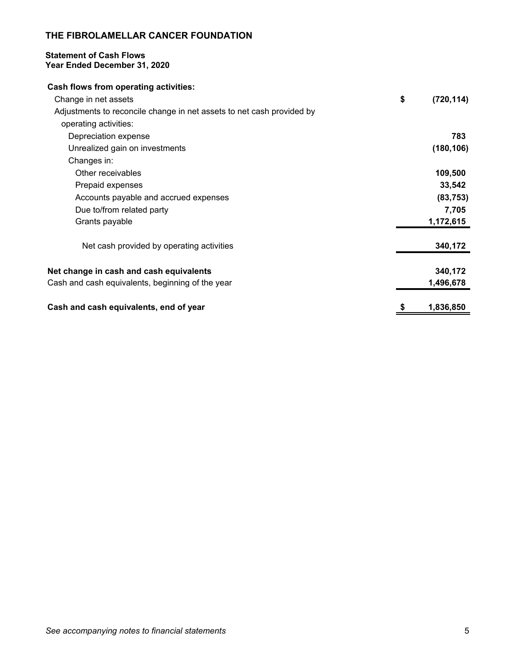#### **Statement of Cash Flows Year Ended December 31, 2020**

| <b>Cash flows from operating activities:</b>                          |                  |
|-----------------------------------------------------------------------|------------------|
| Change in net assets                                                  | \$<br>(720, 114) |
| Adjustments to reconcile change in net assets to net cash provided by |                  |
| operating activities:                                                 |                  |
| Depreciation expense                                                  | 783              |
| Unrealized gain on investments                                        | (180, 106)       |
| Changes in:                                                           |                  |
| Other receivables                                                     | 109,500          |
| Prepaid expenses                                                      | 33,542           |
| Accounts payable and accrued expenses                                 | (83, 753)        |
| Due to/from related party                                             | 7,705            |
| Grants payable                                                        | 1,172,615        |
| Net cash provided by operating activities                             | 340,172          |
| Net change in cash and cash equivalents                               | 340,172          |
| Cash and cash equivalents, beginning of the year                      | 1,496,678        |
| Cash and cash equivalents, end of year                                | 1,836,850        |
|                                                                       |                  |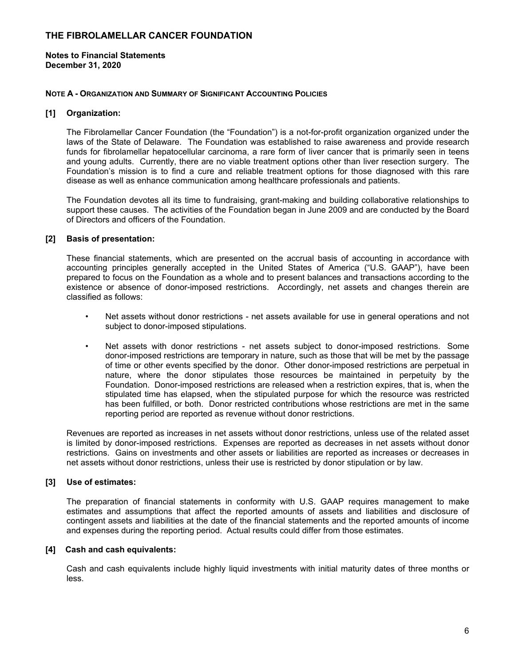**Notes to Financial Statements December 31, 2020** 

#### **NOTE A - ORGANIZATION AND SUMMARY OF SIGNIFICANT ACCOUNTING POLICIES**

#### **[1] Organization:**

The Fibrolamellar Cancer Foundation (the "Foundation") is a not-for-profit organization organized under the laws of the State of Delaware. The Foundation was established to raise awareness and provide research funds for fibrolamellar hepatocellular carcinoma, a rare form of liver cancer that is primarily seen in teens and young adults. Currently, there are no viable treatment options other than liver resection surgery. The Foundation's mission is to find a cure and reliable treatment options for those diagnosed with this rare disease as well as enhance communication among healthcare professionals and patients.

The Foundation devotes all its time to fundraising, grant-making and building collaborative relationships to support these causes. The activities of the Foundation began in June 2009 and are conducted by the Board of Directors and officers of the Foundation.

#### **[2] Basis of presentation:**

These financial statements, which are presented on the accrual basis of accounting in accordance with accounting principles generally accepted in the United States of America ("U.S. GAAP"), have been prepared to focus on the Foundation as a whole and to present balances and transactions according to the existence or absence of donor-imposed restrictions. Accordingly, net assets and changes therein are classified as follows:

- Net assets without donor restrictions net assets available for use in general operations and not subject to donor-imposed stipulations.
- Net assets with donor restrictions net assets subject to donor-imposed restrictions. Some donor-imposed restrictions are temporary in nature, such as those that will be met by the passage of time or other events specified by the donor. Other donor-imposed restrictions are perpetual in nature, where the donor stipulates those resources be maintained in perpetuity by the Foundation. Donor-imposed restrictions are released when a restriction expires, that is, when the stipulated time has elapsed, when the stipulated purpose for which the resource was restricted has been fulfilled, or both. Donor restricted contributions whose restrictions are met in the same reporting period are reported as revenue without donor restrictions.

Revenues are reported as increases in net assets without donor restrictions, unless use of the related asset is limited by donor-imposed restrictions. Expenses are reported as decreases in net assets without donor restrictions. Gains on investments and other assets or liabilities are reported as increases or decreases in net assets without donor restrictions, unless their use is restricted by donor stipulation or by law.

#### **[3] Use of estimates:**

The preparation of financial statements in conformity with U.S. GAAP requires management to make estimates and assumptions that affect the reported amounts of assets and liabilities and disclosure of contingent assets and liabilities at the date of the financial statements and the reported amounts of income and expenses during the reporting period. Actual results could differ from those estimates.

#### **[4] Cash and cash equivalents:**

Cash and cash equivalents include highly liquid investments with initial maturity dates of three months or less.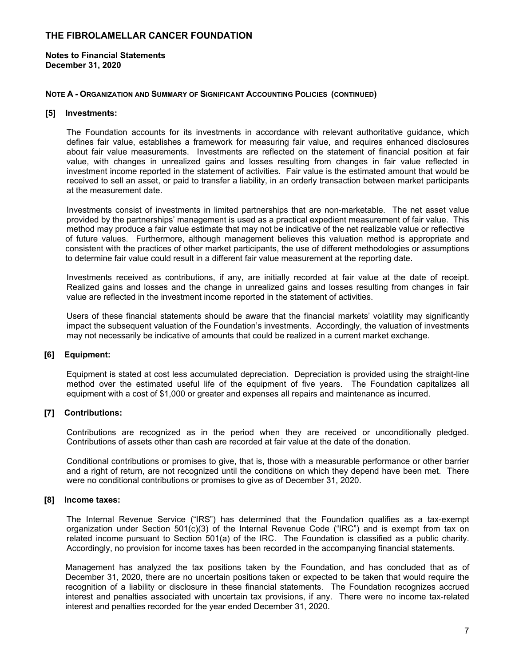**Notes to Financial Statements December 31, 2020** 

#### **NOTE A - ORGANIZATION AND SUMMARY OF SIGNIFICANT ACCOUNTING POLICIES (CONTINUED)**

#### **[5] Investments:**

The Foundation accounts for its investments in accordance with relevant authoritative guidance, which defines fair value, establishes a framework for measuring fair value, and requires enhanced disclosures about fair value measurements. Investments are reflected on the statement of financial position at fair value, with changes in unrealized gains and losses resulting from changes in fair value reflected in investment income reported in the statement of activities. Fair value is the estimated amount that would be received to sell an asset, or paid to transfer a liability, in an orderly transaction between market participants at the measurement date.

Investments consist of investments in limited partnerships that are non-marketable. The net asset value provided by the partnerships' management is used as a practical expedient measurement of fair value. This method may produce a fair value estimate that may not be indicative of the net realizable value or reflective of future values. Furthermore, although management believes this valuation method is appropriate and consistent with the practices of other market participants, the use of different methodologies or assumptions to determine fair value could result in a different fair value measurement at the reporting date.

Investments received as contributions, if any, are initially recorded at fair value at the date of receipt. Realized gains and losses and the change in unrealized gains and losses resulting from changes in fair value are reflected in the investment income reported in the statement of activities.

Users of these financial statements should be aware that the financial markets' volatility may significantly impact the subsequent valuation of the Foundation's investments. Accordingly, the valuation of investments may not necessarily be indicative of amounts that could be realized in a current market exchange.

#### **[6] Equipment:**

Equipment is stated at cost less accumulated depreciation. Depreciation is provided using the straight-line method over the estimated useful life of the equipment of five years. The Foundation capitalizes all equipment with a cost of \$1,000 or greater and expenses all repairs and maintenance as incurred.

#### **[7] Contributions:**

Contributions are recognized as in the period when they are received or unconditionally pledged. Contributions of assets other than cash are recorded at fair value at the date of the donation.

Conditional contributions or promises to give, that is, those with a measurable performance or other barrier and a right of return, are not recognized until the conditions on which they depend have been met. There were no conditional contributions or promises to give as of December 31, 2020.

#### **[8] Income taxes:**

The Internal Revenue Service ("IRS") has determined that the Foundation qualifies as a tax-exempt organization under Section 501(c)(3) of the Internal Revenue Code ("IRC") and is exempt from tax on related income pursuant to Section 501(a) of the IRC. The Foundation is classified as a public charity. Accordingly, no provision for income taxes has been recorded in the accompanying financial statements.

Management has analyzed the tax positions taken by the Foundation, and has concluded that as of December 31, 2020, there are no uncertain positions taken or expected to be taken that would require the recognition of a liability or disclosure in these financial statements. The Foundation recognizes accrued interest and penalties associated with uncertain tax provisions, if any. There were no income tax-related interest and penalties recorded for the year ended December 31, 2020.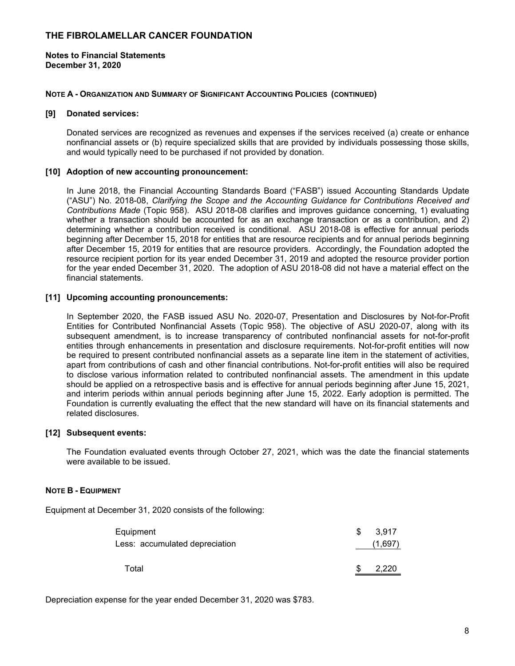**Notes to Financial Statements December 31, 2020** 

#### **NOTE A - ORGANIZATION AND SUMMARY OF SIGNIFICANT ACCOUNTING POLICIES (CONTINUED)**

#### **[9] Donated services:**

Donated services are recognized as revenues and expenses if the services received (a) create or enhance nonfinancial assets or (b) require specialized skills that are provided by individuals possessing those skills, and would typically need to be purchased if not provided by donation.

#### **[10] Adoption of new accounting pronouncement:**

In June 2018, the Financial Accounting Standards Board ("FASB") issued Accounting Standards Update ("ASU") No. 2018-08, *Clarifying the Scope and the Accounting Guidance for Contributions Received and Contributions Made* (Topic 958). ASU 2018-08 clarifies and improves guidance concerning, 1) evaluating whether a transaction should be accounted for as an exchange transaction or as a contribution, and 2) determining whether a contribution received is conditional. ASU 2018-08 is effective for annual periods beginning after December 15, 2018 for entities that are resource recipients and for annual periods beginning after December 15, 2019 for entities that are resource providers. Accordingly, the Foundation adopted the resource recipient portion for its year ended December 31, 2019 and adopted the resource provider portion for the year ended December 31, 2020. The adoption of ASU 2018-08 did not have a material effect on the financial statements.

#### **[11] Upcoming accounting pronouncements:**

In September 2020, the FASB issued ASU No. 2020-07, Presentation and Disclosures by Not-for-Profit Entities for Contributed Nonfinancial Assets (Topic 958). The objective of ASU 2020-07, along with its subsequent amendment, is to increase transparency of contributed nonfinancial assets for not-for-profit entities through enhancements in presentation and disclosure requirements. Not-for-profit entities will now be required to present contributed nonfinancial assets as a separate line item in the statement of activities, apart from contributions of cash and other financial contributions. Not-for-profit entities will also be required to disclose various information related to contributed nonfinancial assets. The amendment in this update should be applied on a retrospective basis and is effective for annual periods beginning after June 15, 2021, and interim periods within annual periods beginning after June 15, 2022. Early adoption is permitted. The Foundation is currently evaluating the effect that the new standard will have on its financial statements and related disclosures.

#### **[12] Subsequent events:**

The Foundation evaluated events through October 27, 2021, which was the date the financial statements were available to be issued.

#### **NOTE B - EQUIPMENT**

Equipment at December 31, 2020 consists of the following:

| Equipment                      | \$. | 3.917   |
|--------------------------------|-----|---------|
| Less: accumulated depreciation |     | (1,697) |
|                                |     |         |
| Total                          |     | 2.220   |

Depreciation expense for the year ended December 31, 2020 was \$783.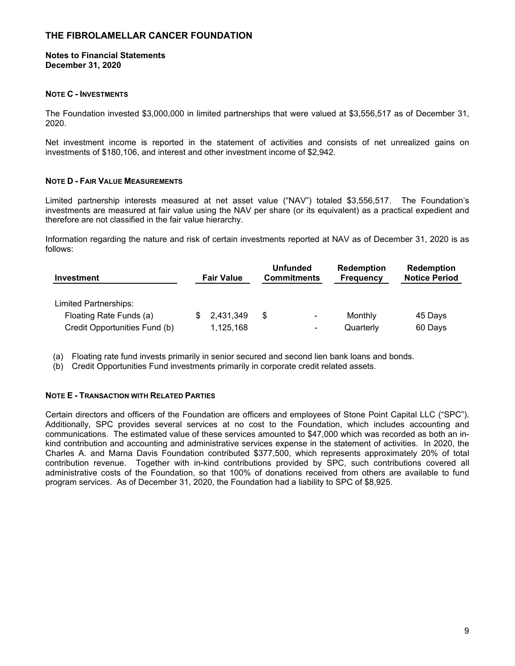#### **Notes to Financial Statements December 31, 2020**

#### **NOTE C - INVESTMENTS**

The Foundation invested \$3,000,000 in limited partnerships that were valued at \$3,556,517 as of December 31, 2020.

Net investment income is reported in the statement of activities and consists of net unrealized gains on investments of \$180,106, and interest and other investment income of \$2,942.

#### **NOTE D - FAIR VALUE MEASUREMENTS**

Limited partnership interests measured at net asset value ("NAV") totaled \$3,556,517. The Foundation's investments are measured at fair value using the NAV per share (or its equivalent) as a practical expedient and therefore are not classified in the fair value hierarchy.

Information regarding the nature and risk of certain investments reported at NAV as of December 31, 2020 is as follows:

| <b>Investment</b>             | <b>Fair Value</b> | <b>Unfunded</b><br><b>Commitments</b> | <b>Redemption</b><br><b>Frequency</b> | <b>Redemption</b><br><b>Notice Period</b> |
|-------------------------------|-------------------|---------------------------------------|---------------------------------------|-------------------------------------------|
| <b>Limited Partnerships:</b>  |                   |                                       |                                       |                                           |
| Floating Rate Funds (a)       | 2,431,349         | S                                     | Monthly<br>٠                          | 45 Days                                   |
| Credit Opportunities Fund (b) | 1,125,168         |                                       | Quarterly<br>۰                        | 60 Days                                   |

(a) Floating rate fund invests primarily in senior secured and second lien bank loans and bonds.

(b) Credit Opportunities Fund investments primarily in corporate credit related assets.

#### **NOTE E - TRANSACTION WITH RELATED PARTIES**

Certain directors and officers of the Foundation are officers and employees of Stone Point Capital LLC ("SPC"). Additionally, SPC provides several services at no cost to the Foundation, which includes accounting and communications. The estimated value of these services amounted to \$47,000 which was recorded as both an inkind contribution and accounting and administrative services expense in the statement of activities. In 2020, the Charles A. and Marna Davis Foundation contributed \$377,500, which represents approximately 20% of total contribution revenue. Together with in-kind contributions provided by SPC, such contributions covered all administrative costs of the Foundation, so that 100% of donations received from others are available to fund program services. As of December 31, 2020, the Foundation had a liability to SPC of \$8,925.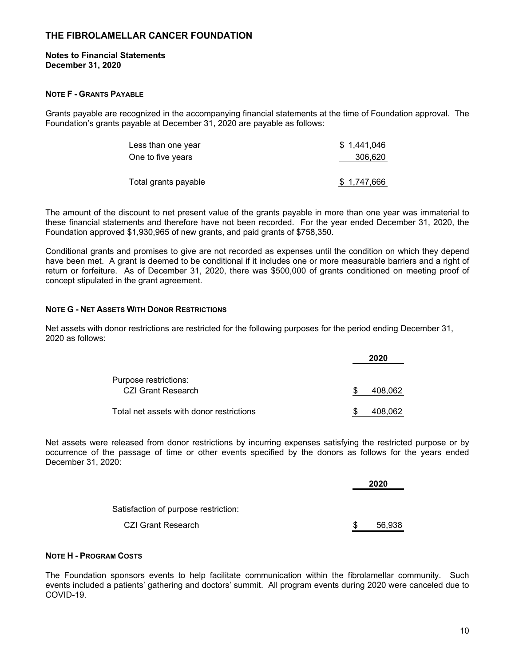#### **Notes to Financial Statements December 31, 2020**

#### **NOTE F - GRANTS PAYABLE**

Grants payable are recognized in the accompanying financial statements at the time of Foundation approval. The Foundation's grants payable at December 31, 2020 are payable as follows:

| \$1.441.046 |
|-------------|
| 306,620     |
|             |
| \$1,747,666 |
|             |

The amount of the discount to net present value of the grants payable in more than one year was immaterial to these financial statements and therefore have not been recorded. For the year ended December 31, 2020, the Foundation approved \$1,930,965 of new grants, and paid grants of \$758,350.

Conditional grants and promises to give are not recorded as expenses until the condition on which they depend have been met. A grant is deemed to be conditional if it includes one or more measurable barriers and a right of return or forfeiture. As of December 31, 2020, there was \$500,000 of grants conditioned on meeting proof of concept stipulated in the grant agreement.

#### **NOTE G - NET ASSETS WITH DONOR RESTRICTIONS**

Net assets with donor restrictions are restricted for the following purposes for the period ending December 31, 2020 as follows:

|                                                    | 2020    |
|----------------------------------------------------|---------|
| Purpose restrictions:<br><b>CZI Grant Research</b> | 408,062 |
| Total net assets with donor restrictions           | 408.062 |

Net assets were released from donor restrictions by incurring expenses satisfying the restricted purpose or by occurrence of the passage of time or other events specified by the donors as follows for the years ended December 31, 2020:

|                                      |     | 2020   |
|--------------------------------------|-----|--------|
| Satisfaction of purpose restriction: |     |        |
| CZI Grant Research                   | \$. | 56.938 |

#### **NOTE H - PROGRAM COSTS**

The Foundation sponsors events to help facilitate communication within the fibrolamellar community. Such events included a patients' gathering and doctors' summit. All program events during 2020 were canceled due to COVID-19.